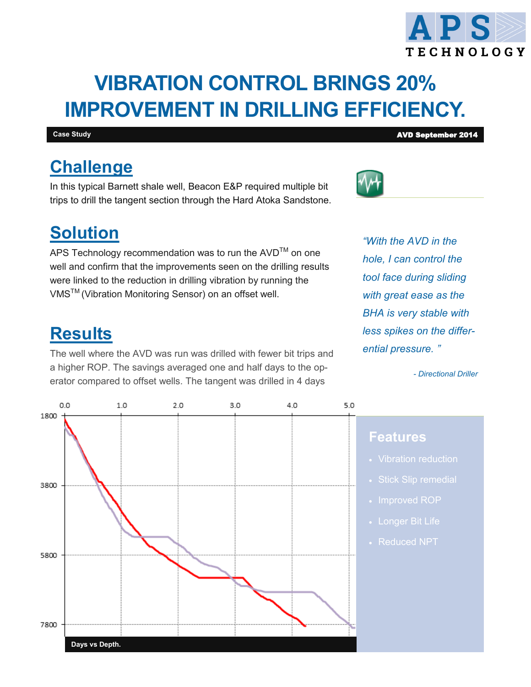# **VIBRATION CONTROL BRINGS 20% IMPROVEMENT IN DRILLING EFFICIENCY.**

#### **Case Study AVD September 2014**

## **Challenge**

In this typical Barnett shale well, Beacon E&P required multiple bit trips to drill the tangent section through the Hard Atoka Sandstone.

## **Solution**

APS Technology recommendation was to run the AVD<sup>™</sup> on one well and confirm that the improvements seen on the drilling results were linked to the reduction in drilling vibration by running the VMS<sup>™</sup> (Vibration Monitoring Sensor) on an offset well.

### **Results**

The well where the AVD was run was drilled with fewer bit trips and a higher ROP. The savings averaged one and half days to the operator compared to offset wells. The tangent was drilled in 4 days

*"With the AVD in the hole, I can control the tool face during sliding with great ease as the BHA is very stable with less spikes on the differential pressure. "*

*- Directional Driller*